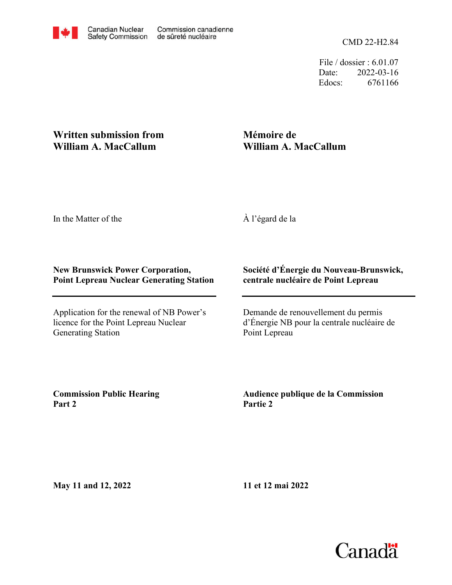File / dossier : 6.01.07 Date: 2022-03-16 Edocs: 6761166

## **Written submission from William A. MacCallum**

# **Mémoire de William A. MacCallum**

In the Matter of the

À l'égard de la

### **New Brunswick Power Corporation, Point Lepreau Nuclear Generating Station**

Application for the renewal of NB Power's licence for the Point Lepreau Nuclear Generating Station

### **Société d'Énergie du Nouveau-Brunswick, centrale nucléaire de Point Lepreau**

Demande de renouvellement du permis d'Énergie NB pour la centrale nucléaire de Point Lepreau

**Commission Public Hearing Part 2**

**Audience publique de la Commission Partie 2**

**May 11 and 12, 2022**

**11 et 12 mai 2022**

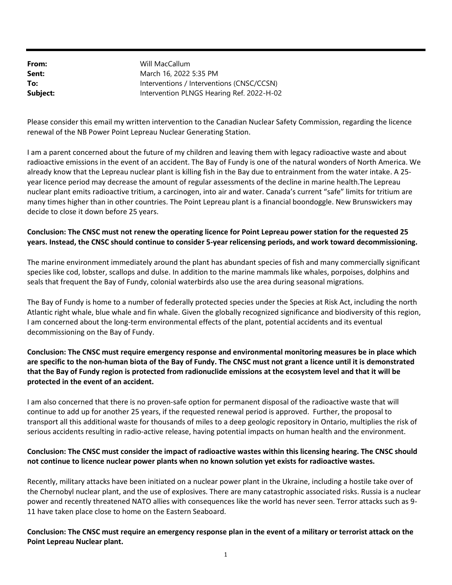From: Sent: To: Subject: Intervention PLNGS Hearing Ref. 2022-H-02 Interventions / Interventions (CNSC/CCSN) March 16, 2022 5:35 PM Will MacCallum

Please consider this email my written intervention to the Canadian Nuclear Safety Commission, regarding the licence renewal of the NB Power Point Lepreau Nuclear Generating Station.

I am a parent concerned about the future of my children and leaving them with legacy radioactive waste and about radioactive emissions in the event of an accident. The Bay of Fundy is one of the natural wonders of North America. We already know that the Lepreau nuclear plant is killing fish in the Bay due to entrainment from the water intake. A 25 year licence period may decrease the amount of regular assessments of the decline in marine health.The Lepreau nuclear plant emits radioactive tritium, a carcinogen, into air and water. Canada's current "safe" limits for tritium are many times higher than in other countries. The Point Lepreau plant is a financial boondoggle. New Brunswickers may decide to close it down before 25 years.

#### Conclusion: The CNSC must not renew the operating licence for Point Lepreau power station for the requested 25 years. Instead, the CNSC should continue to consider 5-year relicensing periods, and work toward decommissioning.

The marine environment immediately around the plant has abundant species of fish and many commercially significant species like cod, lobster, scallops and dulse. In addition to the marine mammals like whales, porpoises, dolphins and seals that frequent the Bay of Fundy, colonial waterbirds also use the area during seasonal migrations.

The Bay of Fundy is home to a number of federally protected species under the Species at Risk Act, including the north Atlantic right whale, blue whale and fin whale. Given the globally recognized significance and biodiversity of this region, I am concerned about the long-term environmental effects of the plant, potential accidents and its eventual decommissioning on the Bay of Fundy.

Conclusion: The CNSC must require emergency response and environmental monitoring measures be in place which are specific to the non-human biota of the Bay of Fundy. The CNSC must not grant a licence until it is demonstrated that the Bay of Fundy region is protected from radionuclide emissions at the ecosystem level and that it will be protected in the event of an accident.

I am also concerned that there is no proven-safe option for permanent disposal of the radioactive waste that will continue to add up for another 25 years, if the requested renewal period is approved. Further, the proposal to transport all this additional waste for thousands of miles to a deep geologic repository in Ontario, multiplies the risk of serious accidents resulting in radio-active release, having potential impacts on human health and the environment.

#### Conclusion: The CNSC must consider the impact of radioactive wastes within this licensing hearing. The CNSC should not continue to licence nuclear power plants when no known solution yet exists for radioactive wastes.

Recently, military attacks have been initiated on a nuclear power plant in the Ukraine, including a hostile take over of the Chernobyl nuclear plant, and the use of explosives. There are many catastrophic associated risks. Russia is a nuclear power and recently threatened NATO allies with consequences like the world has never seen. Terror attacks such as 9- 11 have taken place close to home on the Eastern Seaboard.

Conclusion: The CNSC must require an emergency response plan in the event of a military or terrorist attack on the Point Lepreau Nuclear plant.